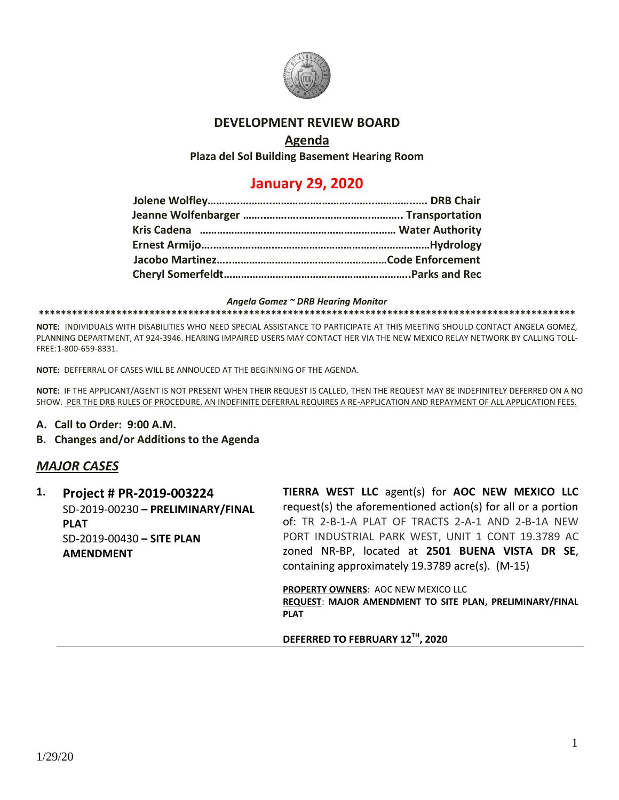

## **DEVELOPMENT REVIEW BOARD**

## **Agenda**

**Plaza del Sol Building Basement Hearing Room**

# **January 29, 2020**

#### *Angela Gomez ~ DRB Hearing Monitor*

#### **\*\*\*\*\*\*\*\*\*\*\*\*\*\*\*\*\*\*\*\*\*\*\*\*\*\*\*\*\*\*\*\*\*\*\*\*\*\*\*\*\*\*\*\*\*\*\*\*\*\*\*\*\*\*\*\*\*\*\*\*\*\*\*\*\*\*\*\*\*\*\*\*\*\*\*\*\*\*\*\*\*\*\*\*\*\*\*\*\*\*\*\*\*\*\*\*\***

**NOTE:** INDIVIDUALS WITH DISABILITIES WHO NEED SPECIAL ASSISTANCE TO PARTICIPATE AT THIS MEETING SHOULD CONTACT ANGELA GOMEZ, PLANNING DEPARTMENT, AT 924-3946. HEARING IMPAIRED USERS MAY CONTACT HER VIA THE NEW MEXICO RELAY NETWORK BY CALLING TOLL-FREE:1-800-659-8331.

**NOTE:** DEFFERRAL OF CASES WILL BE ANNOUCED AT THE BEGINNING OF THE AGENDA.

**NOTE:** IF THE APPLICANT/AGENT IS NOT PRESENT WHEN THEIR REQUEST IS CALLED, THEN THE REQUEST MAY BE INDEFINITELY DEFERRED ON A NO SHOW. PER THE DRB RULES OF PROCEDURE, AN INDEFINITE DEFERRAL REQUIRES A RE-APPLICATION AND REPAYMENT OF ALL APPLICATION FEES.

### **A. Call to Order: 9:00 A.M.**

### **B. Changes and/or Additions to the Agenda**

## *MAJOR CASES*

**1. Project # PR-2019-003224** SD-2019-00230 **– PRELIMINARY/FINAL PLAT** SD-2019-00430 **– SITE PLAN AMENDMENT**

**TIERRA WEST LLC** agent(s) for **AOC NEW MEXICO LLC** request(s) the aforementioned action(s) for all or a portion of: TR 2-B-1-A PLAT OF TRACTS 2-A-1 AND 2-B-1A NEW PORT INDUSTRIAL PARK WEST, UNIT 1 CONT 19.3789 AC zoned NR-BP, located at **2501 BUENA VISTA DR SE**, containing approximately 19.3789 acre(s). (M-15)

**PROPERTY OWNERS**: AOC NEW MEXICO LLC **REQUEST**: **MAJOR AMENDMENT TO SITE PLAN, PRELIMINARY/FINAL PLAT**

**DEFERRED TO FEBRUARY 12TH, 2020**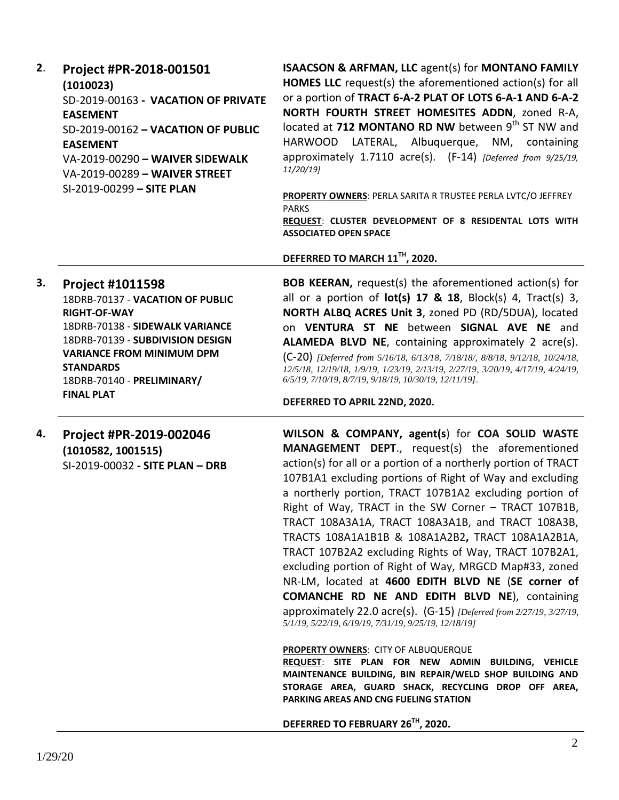| 2. | Project #PR-2018-001501<br>(1010023)<br>SD-2019-00163 - VACATION OF PRIVATE<br><b>EASEMENT</b><br>SD-2019-00162 - VACATION OF PUBLIC<br><b>EASEMENT</b><br>VA-2019-00290 - WAIVER SIDEWALK<br>VA-2019-00289 - WAIVER STREET<br>SI-2019-00299 - SITE PLAN             | ISAACSON & ARFMAN, LLC agent(s) for MONTANO FAMILY<br><b>HOMES LLC</b> request(s) the aforementioned action(s) for all<br>or a portion of TRACT 6-A-2 PLAT OF LOTS 6-A-1 AND 6-A-2<br>NORTH FOURTH STREET HOMESITES ADDN, zoned R-A,<br>located at 712 MONTANO RD NW between 9th ST NW and<br>HARWOOD LATERAL, Albuquerque, NM,<br>containing<br>approximately 1.7110 acre(s). (F-14) [Deferred from 9/25/19,<br>11/20/19<br>PROPERTY OWNERS: PERLA SARITA R TRUSTEE PERLA LVTC/O JEFFREY<br><b>PARKS</b><br>REQUEST: CLUSTER DEVELOPMENT OF 8 RESIDENTAL LOTS WITH                                                                                                                                                                                                                                                                                                                                                               |
|----|----------------------------------------------------------------------------------------------------------------------------------------------------------------------------------------------------------------------------------------------------------------------|-----------------------------------------------------------------------------------------------------------------------------------------------------------------------------------------------------------------------------------------------------------------------------------------------------------------------------------------------------------------------------------------------------------------------------------------------------------------------------------------------------------------------------------------------------------------------------------------------------------------------------------------------------------------------------------------------------------------------------------------------------------------------------------------------------------------------------------------------------------------------------------------------------------------------------------|
|    |                                                                                                                                                                                                                                                                      | <b>ASSOCIATED OPEN SPACE</b><br>DEFERRED TO MARCH 11TH, 2020.                                                                                                                                                                                                                                                                                                                                                                                                                                                                                                                                                                                                                                                                                                                                                                                                                                                                     |
| 3. | <b>Project #1011598</b><br>18DRB-70137 - VACATION OF PUBLIC<br><b>RIGHT-OF-WAY</b><br>18DRB-70138 - SIDEWALK VARIANCE<br>18DRB-70139 - SUBDIVISION DESIGN<br><b>VARIANCE FROM MINIMUM DPM</b><br><b>STANDARDS</b><br>18DRB-70140 - PRELIMINARY/<br><b>FINAL PLAT</b> | <b>BOB KEERAN, request(s) the aforementioned action(s) for</b><br>all or a portion of $lot(s)$ 17 & 18, Block(s) 4, Tract(s) 3,<br>NORTH ALBQ ACRES Unit 3, zoned PD (RD/5DUA), located<br>on VENTURA ST NE between SIGNAL AVE NE and<br>ALAMEDA BLVD NE, containing approximately 2 acre(s).<br>(C-20) [Deferred from 5/16/18, 6/13/18, 7/18/18/, 8/8/18, 9/12/18, 10/24/18,<br>12/5/18, 12/19/18, 1/9/19, 1/23/19, 2/13/19, 2/27/19, 3/20/19, 4/17/19, 4/24/19,<br>6/5/19, 7/10/19, 8/7/19, 9/18/19, 10/30/19, 12/11/19].<br>DEFERRED TO APRIL 22ND, 2020.                                                                                                                                                                                                                                                                                                                                                                      |
| 4. | Project #PR-2019-002046<br>(1010582, 1001515)<br>SI-2019-00032 - SITE PLAN - DRB                                                                                                                                                                                     | WILSON & COMPANY, agent(s) for COA SOLID WASTE<br>MANAGEMENT DEPT., request(s) the aforementioned<br>action(s) for all or a portion of a northerly portion of TRACT<br>107B1A1 excluding portions of Right of Way and excluding<br>a northerly portion, TRACT 107B1A2 excluding portion of<br>Right of Way, TRACT in the SW Corner - TRACT 107B1B,<br>TRACT 108A3A1A, TRACT 108A3A1B, and TRACT 108A3B,<br>TRACTS 108A1A1B1B & 108A1A2B2, TRACT 108A1A2B1A,<br>TRACT 107B2A2 excluding Rights of Way, TRACT 107B2A1,<br>excluding portion of Right of Way, MRGCD Map#33, zoned<br>NR-LM, located at 4600 EDITH BLVD NE (SE corner of<br><b>COMANCHE RD NE AND EDITH BLVD NE), containing</b><br>approximately 22.0 acre(s). (G-15) [Deferred from 2/27/19, 3/27/19,<br>5/1/19, 5/22/19, 6/19/19, 7/31/19, 9/25/19, 12/18/19]<br><b>PROPERTY OWNERS: CITY OF ALBUQUERQUE</b><br>REQUEST: SITE PLAN FOR NEW ADMIN BUILDING, VEHICLE |

**REQUEST**: **SITE PLAN FOR NEW ADMIN BUILDING, VEHICLE MAINTENANCE BUILDING, BIN REPAIR/WELD SHOP BUILDING AND STORAGE AREA, GUARD SHACK, RECYCLING DROP OFF AREA, PARKING AREAS AND CNG FUELING STATION**

**DEFERRED TO FEBRUARY 26TH, 2020.**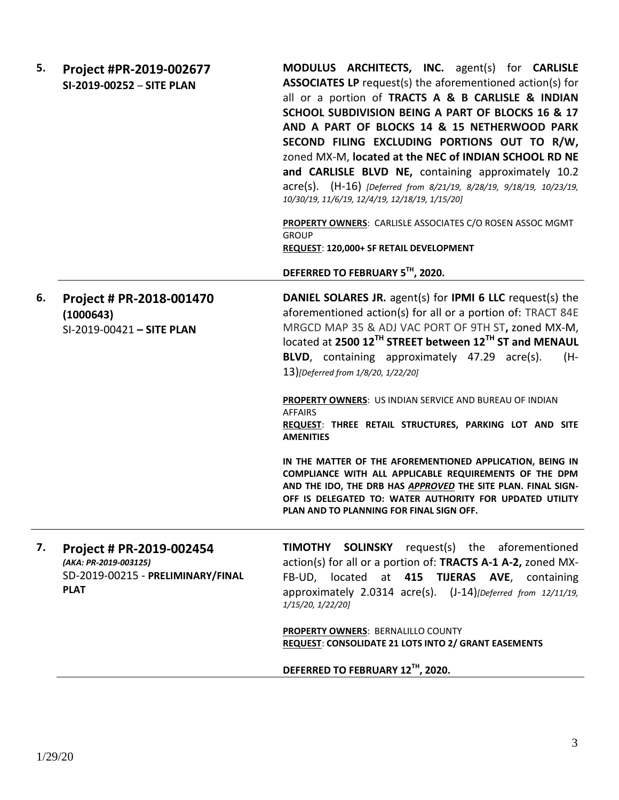| 5. | Project #PR-2019-002677<br>SI-2019-00252 - SITE PLAN                                                  | MODULUS ARCHITECTS, INC. agent(s) for CARLISLE<br><b>ASSOCIATES LP</b> request(s) the aforementioned action(s) for<br>all or a portion of TRACTS A & B CARLISLE & INDIAN<br>SCHOOL SUBDIVISION BEING A PART OF BLOCKS 16 & 17<br>AND A PART OF BLOCKS 14 & 15 NETHERWOOD PARK<br>SECOND FILING EXCLUDING PORTIONS OUT TO R/W,<br>zoned MX-M, located at the NEC of INDIAN SCHOOL RD NE<br>and CARLISLE BLVD NE, containing approximately 10.2<br>acre(s). (H-16) [Deferred from 8/21/19, 8/28/19, 9/18/19, 10/23/19,<br>10/30/19, 11/6/19, 12/4/19, 12/18/19, 1/15/20]<br>PROPERTY OWNERS: CARLISLE ASSOCIATES C/O ROSEN ASSOC MGMT<br><b>GROUP</b><br>REQUEST: 120,000+ SF RETAIL DEVELOPMENT<br>DEFERRED TO FEBRUARY 5TH, 2020.                                                                                                                     |
|----|-------------------------------------------------------------------------------------------------------|-------------------------------------------------------------------------------------------------------------------------------------------------------------------------------------------------------------------------------------------------------------------------------------------------------------------------------------------------------------------------------------------------------------------------------------------------------------------------------------------------------------------------------------------------------------------------------------------------------------------------------------------------------------------------------------------------------------------------------------------------------------------------------------------------------------------------------------------------------|
| 6. | Project # PR-2018-001470<br>(1000643)<br>SI-2019-00421 - SITE PLAN                                    | <b>DANIEL SOLARES JR.</b> agent(s) for <b>IPMI 6 LLC</b> request(s) the<br>aforementioned action(s) for all or a portion of: TRACT 84E<br>MRGCD MAP 35 & ADJ VAC PORT OF 9TH ST, zoned MX-M,<br>located at 2500 12 <sup>TH</sup> STREET between 12 <sup>TH</sup> ST and MENAUL<br><b>BLVD</b> , containing approximately 47.29 acre(s).<br>(H-<br>13)[Deferred from 1/8/20, 1/22/20]<br><b>PROPERTY OWNERS: US INDIAN SERVICE AND BUREAU OF INDIAN</b><br><b>AFFAIRS</b><br>REQUEST: THREE RETAIL STRUCTURES, PARKING LOT AND SITE<br><b>AMENITIES</b><br>IN THE MATTER OF THE AFOREMENTIONED APPLICATION, BEING IN<br>COMPLIANCE WITH ALL APPLICABLE REQUIREMENTS OF THE DPM<br>AND THE IDO, THE DRB HAS APPROVED THE SITE PLAN. FINAL SIGN-<br>OFF IS DELEGATED TO: WATER AUTHORITY FOR UPDATED UTILITY<br>PLAN AND TO PLANNING FOR FINAL SIGN OFF. |
| 7. | Project # PR-2019-002454<br>(AKA: PR-2019-003125)<br>SD-2019-00215 - PRELIMINARY/FINAL<br><b>PLAT</b> | <b>TIMOTHY SOLINSKY</b> request(s) the aforementioned<br>action(s) for all or a portion of: TRACTS A-1 A-2, zoned MX-<br>FB-UD, located at 415 TIJERAS AVE, containing<br>approximately 2.0314 acre(s). (J-14) [Deferred from 12/11/19,<br>1/15/20, 1/22/20]<br>PROPERTY OWNERS: BERNALILLO COUNTY<br>REQUEST: CONSOLIDATE 21 LOTS INTO 2/ GRANT EASEMENTS<br>DEFERRED TO FEBRUARY 12TH, 2020.                                                                                                                                                                                                                                                                                                                                                                                                                                                        |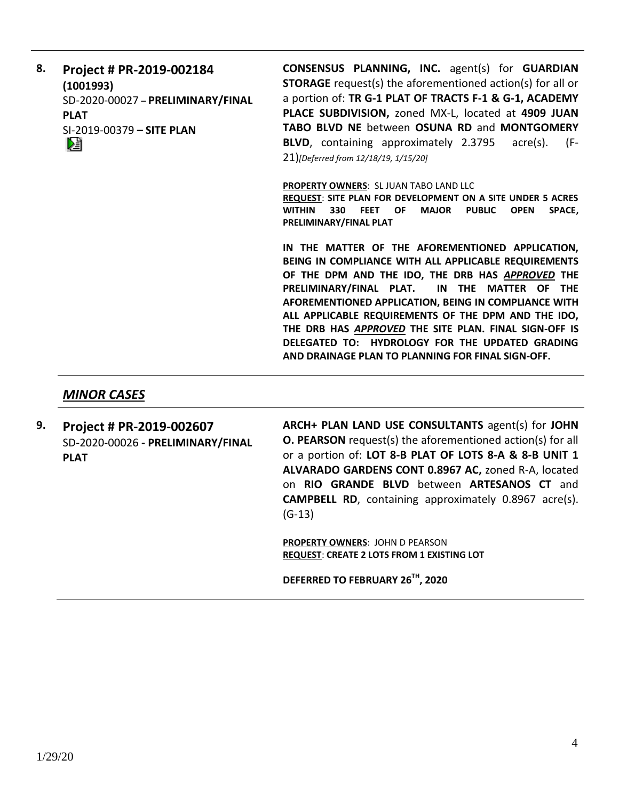**8. Project # PR-2019-002184 (1001993)** SD-2020-00027 **– PRELIMINARY/FINAL PLAT** SI-2019-00379 **– SITE PLAN CONSENSUS PLANNING, INC.** agent(s) for **GUARDIAN STORAGE** request(s) the aforementioned action(s) for all or a portion of: **TR G-1 PLAT OF TRACTS F-1 & G-1, ACADEMY PLACE SUBDIVISION,** zoned MX-L, located at **4909 JUAN TABO BLVD NE** between **OSUNA RD** and **MONTGOMERY BLVD**, containing approximately 2.3795 acre(s). (F-21)*[Deferred from 12/18/19, 1/15/20]* **PROPERTY OWNERS**: SL JUAN TABO LAND LLC **REQUEST**: **SITE PLAN FOR DEVELOPMENT ON A SITE UNDER 5 ACRES WITHIN 330 FEET OF MAJOR PUBLIC OPEN SPACE,** 

**PRELIMINARY/FINAL PLAT** 

**IN THE MATTER OF THE AFOREMENTIONED APPLICATION, BEING IN COMPLIANCE WITH ALL APPLICABLE REQUIREMENTS OF THE DPM AND THE IDO, THE DRB HAS** *APPROVED* **THE PRELIMINARY/FINAL PLAT. IN THE MATTER OF THE AFOREMENTIONED APPLICATION, BEING IN COMPLIANCE WITH ALL APPLICABLE REQUIREMENTS OF THE DPM AND THE IDO, THE DRB HAS** *APPROVED* **THE SITE PLAN. FINAL SIGN-OFF IS DELEGATED TO: HYDROLOGY FOR THE UPDATED GRADING AND DRAINAGE PLAN TO PLANNING FOR FINAL SIGN-OFF.**

## *MINOR CASES*

**9. Project # PR-2019-002607** SD-2020-00026 **- PRELIMINARY/FINAL PLAT**

**ARCH+ PLAN LAND USE CONSULTANTS** agent(s) for **JOHN O. PEARSON** request(s) the aforementioned action(s) for all or a portion of: **LOT 8-B PLAT OF LOTS 8-A & 8-B UNIT 1 ALVARADO GARDENS CONT 0.8967 AC,** zoned R-A, located on **RIO GRANDE BLVD** between **ARTESANOS CT** and **CAMPBELL RD**, containing approximately 0.8967 acre(s). (G-13)

**PROPERTY OWNERS**: JOHN D PEARSON **REQUEST**: **CREATE 2 LOTS FROM 1 EXISTING LOT**

**DEFERRED TO FEBRUARY 26TH, 2020**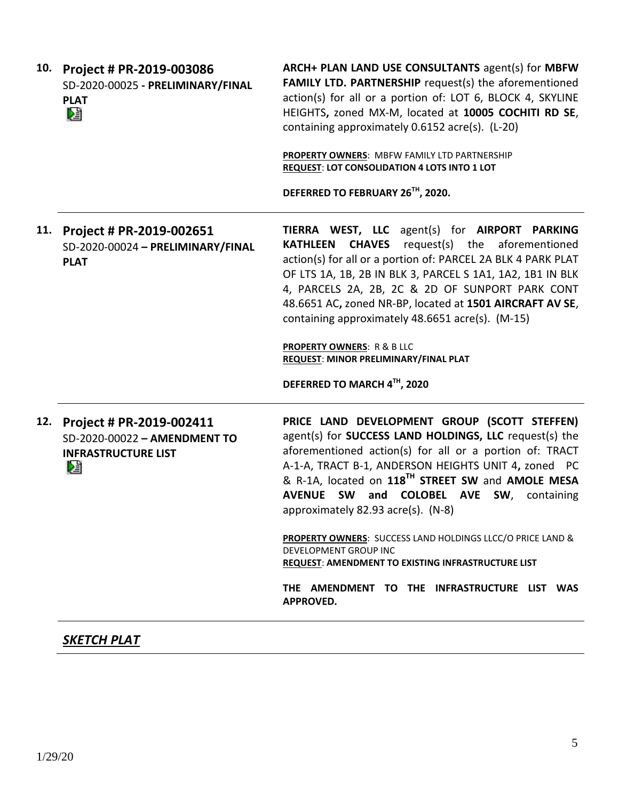| 10. | Project # PR-2019-003086<br>SD-2020-00025 - PRELIMINARY/FINAL<br><b>PLAT</b><br>N           | ARCH+ PLAN LAND USE CONSULTANTS agent(s) for MBFW<br><b>FAMILY LTD. PARTNERSHIP request(s) the aforementioned</b><br>action(s) for all or a portion of: LOT 6, BLOCK 4, SKYLINE<br>HEIGHTS, zoned MX-M, located at 10005 COCHITI RD SE,<br>containing approximately 0.6152 acre(s). (L-20)<br>PROPERTY OWNERS: MBFW FAMILY LTD PARTNERSHIP<br><b>REQUEST: LOT CONSOLIDATION 4 LOTS INTO 1 LOT</b><br>DEFERRED TO FEBRUARY 26TH, 2020.                                                                                                                                                                                   |
|-----|---------------------------------------------------------------------------------------------|-------------------------------------------------------------------------------------------------------------------------------------------------------------------------------------------------------------------------------------------------------------------------------------------------------------------------------------------------------------------------------------------------------------------------------------------------------------------------------------------------------------------------------------------------------------------------------------------------------------------------|
| 11. | Project # PR-2019-002651<br>SD-2020-00024 - PRELIMINARY/FINAL<br><b>PLAT</b>                | TIERRA WEST, LLC agent(s) for AIRPORT PARKING<br><b>KATHLEEN CHAVES</b> request(s) the aforementioned<br>action(s) for all or a portion of: PARCEL 2A BLK 4 PARK PLAT<br>OF LTS 1A, 1B, 2B IN BLK 3, PARCEL S 1A1, 1A2, 1B1 IN BLK<br>4, PARCELS 2A, 2B, 2C & 2D OF SUNPORT PARK CONT<br>48.6651 AC, zoned NR-BP, located at 1501 AIRCRAFT AV SE,<br>containing approximately 48.6651 acre(s). (M-15)<br><b>PROPERTY OWNERS: R &amp; B LLC</b><br>REQUEST: MINOR PRELIMINARY/FINAL PLAT<br>DEFERRED TO MARCH 4TH, 2020                                                                                                  |
| 12. | Project # PR-2019-002411<br>SD-2020-00022 - AMENDMENT TO<br><b>INFRASTRUCTURE LIST</b><br>¥ | PRICE LAND DEVELOPMENT GROUP (SCOTT STEFFEN)<br>agent(s) for <b>SUCCESS LAND HOLDINGS, LLC</b> request(s) the<br>aforementioned action(s) for all or a portion of: TRACT<br>A-1-A, TRACT B-1, ANDERSON HEIGHTS UNIT 4, zoned PC<br>& R-1A, located on 118 <sup>TH</sup> STREET SW and AMOLE MESA<br><b>AVENUE SW</b><br>and COLOBEL AVE SW,<br>containing<br>approximately 82.93 acre(s). (N-8)<br><b>PROPERTY OWNERS:</b> SUCCESS LAND HOLDINGS LLCC/O PRICE LAND &<br>DEVELOPMENT GROUP INC<br>REQUEST: AMENDMENT TO EXISTING INFRASTRUCTURE LIST<br>THE AMENDMENT TO THE INFRASTRUCTURE LIST WAS<br><b>APPROVED.</b> |

## *SKETCH PLAT*